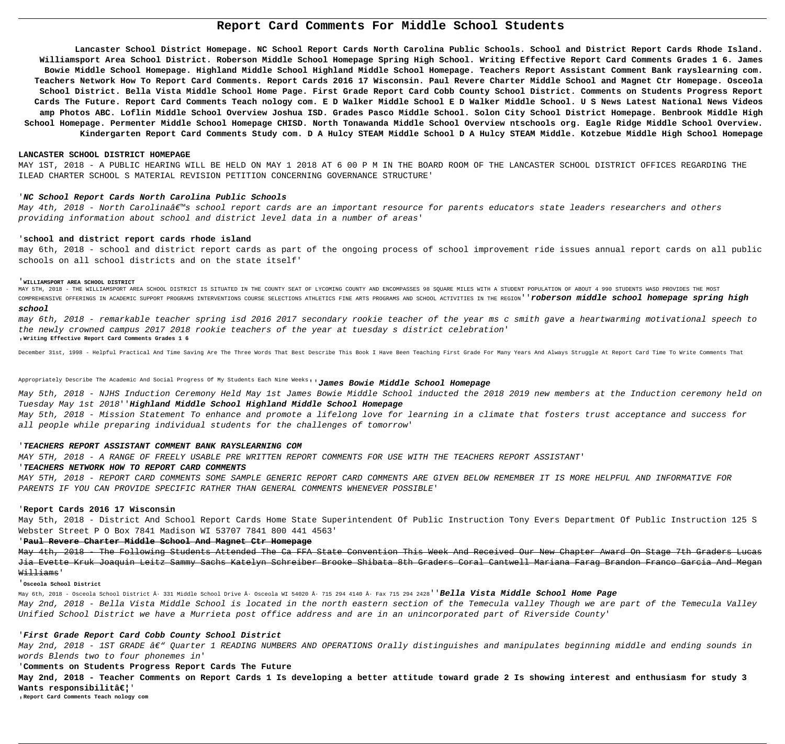# **Report Card Comments For Middle School Students**

**Lancaster School District Homepage. NC School Report Cards North Carolina Public Schools. School and District Report Cards Rhode Island. Williamsport Area School District. Roberson Middle School Homepage Spring High School. Writing Effective Report Card Comments Grades 1 6. James Bowie Middle School Homepage. Highland Middle School Highland Middle School Homepage. Teachers Report Assistant Comment Bank rayslearning com. Teachers Network How To Report Card Comments. Report Cards 2016 17 Wisconsin. Paul Revere Charter Middle School and Magnet Ctr Homepage. Osceola School District. Bella Vista Middle School Home Page. First Grade Report Card Cobb County School District. Comments on Students Progress Report Cards The Future. Report Card Comments Teach nology com. E D Walker Middle School E D Walker Middle School. U S News Latest National News Videos amp Photos ABC. Loflin Middle School Overview Joshua ISD. Grades Pasco Middle School. Solon City School District Homepage. Benbrook Middle High School Homepage. Permenter Middle School Homepage CHISD. North Tonawanda Middle School Overview ntschools org. Eagle Ridge Middle School Overview. Kindergarten Report Card Comments Study com. D A Hulcy STEAM Middle School D A Hulcy STEAM Middle. Kotzebue Middle High School Homepage**

May 4th, 2018 - North Carolina's school report cards are an important resource for parents educators state leaders researchers and others providing information about school and district level data in a number of areas'

MAY 5TH, 2018 - THE WILLIAMSPORT AREA SCHOOL DISTRICT IS SITUATED IN THE COUNTY SEAT OF LYCOMING COUNTY AND ENCOMPASSES 98 SQUARE MILES WITH A STUDENT POPULATION OF ABOUT 4 990 STUDENTS WASD PROVIDES THE MOST COMPREHENSIVE OFFERINGS IN ACADEMIC SUPPORT PROGRAMS INTERVENTIONS COURSE SELECTIONS ATHLETICS FINE ARTS PROGRAMS AND SCHOOL ACTIVITIES IN THE REGION''**roberson middle school homepage spring high school**

## **LANCASTER SCHOOL DISTRICT HOMEPAGE**

MAY 1ST, 2018 - A PUBLIC HEARING WILL BE HELD ON MAY 1 2018 AT 6 00 P M IN THE BOARD ROOM OF THE LANCASTER SCHOOL DISTRICT OFFICES REGARDING THE ILEAD CHARTER SCHOOL S MATERIAL REVISION PETITION CONCERNING GOVERNANCE STRUCTURE'

## '**NC School Report Cards North Carolina Public Schools**

## '**school and district report cards rhode island**

may 6th, 2018 - school and district report cards as part of the ongoing process of school improvement ride issues annual report cards on all public schools on all school districts and on the state itself'

### '**WILLIAMSPORT AREA SCHOOL DISTRICT**

May 4th, 2018 - The Following Students Attended The Ca FFA State Convention This Week And Received Our New Chapter Award On Stage 7th Graders Lucas Jia Evette Kruk Joaquin Leitz Sammy Sachs Katelyn Schreiber Brooke Shibata 8th Graders Coral Cantwell Mariana Farag Brandon Franco Garcia And Megan Williams'

May 6th, 2018 - Osceola School District · 331 Middle School Drive · Osceola WI 54020 · 715 294 4140 · Fax 715 294 2428''**Bella Vista Middle School Home Page** May 2nd, 2018 - Bella Vista Middle School is located in the north eastern section of the Temecula valley Though we are part of the Temecula Valley Unified School District we have a Murrieta post office address and are in an unincorporated part of Riverside County'

May 2nd, 2018 - 1ST GRADE â€" Quarter 1 READING NUMBERS AND OPERATIONS Orally distinguishes and manipulates beginning middle and ending sounds in words Blends two to four phonemes in'

may 6th, 2018 - remarkable teacher spring isd 2016 2017 secondary rookie teacher of the year ms c smith gave a heartwarming motivational speech to the newly crowned campus 2017 2018 rookie teachers of the year at tuesday s district celebration' '**Writing Effective Report Card Comments Grades 1 6**

**May 2nd, 2018 - Teacher Comments on Report Cards 1 Is developing a better attitude toward grade 2 Is showing interest and enthusiasm for study 3** Wants responsibilitâ€!'

December 31st, 1998 - Helpful Practical And Time Saving Are The Three Words That Best Describe This Book I Have Been Teaching First Grade For Many Years And Always Struggle At Report Card Time To Write Comments That

Appropriately Describe The Academic And Social Progress Of My Students Each Nine Weeks''**James Bowie Middle School Homepage**

May 5th, 2018 - NJHS Induction Ceremony Held May 1st James Bowie Middle School inducted the 2018 2019 new members at the Induction ceremony held on Tuesday May 1st 2018''**Highland Middle School Highland Middle School Homepage** May 5th, 2018 - Mission Statement To enhance and promote a lifelong love for learning in a climate that fosters trust acceptance and success for

all people while preparing individual students for the challenges of tomorrow'

## '**TEACHERS REPORT ASSISTANT COMMENT BANK RAYSLEARNING COM**

MAY 5TH, 2018 - A RANGE OF FREELY USABLE PRE WRITTEN REPORT COMMENTS FOR USE WITH THE TEACHERS REPORT ASSISTANT' '**TEACHERS NETWORK HOW TO REPORT CARD COMMENTS**

MAY 5TH, 2018 - REPORT CARD COMMENTS SOME SAMPLE GENERIC REPORT CARD COMMENTS ARE GIVEN BELOW REMEMBER IT IS MORE HELPFUL AND INFORMATIVE FOR PARENTS IF YOU CAN PROVIDE SPECIFIC RATHER THAN GENERAL COMMENTS WHENEVER POSSIBLE'

## '**Report Cards 2016 17 Wisconsin**

May 5th, 2018 - District And School Report Cards Home State Superintendent Of Public Instruction Tony Evers Department Of Public Instruction 125 S Webster Street P O Box 7841 Madison WI 53707 7841 800 441 4563'

## '**Paul Revere Charter Middle School And Magnet Ctr Homepage**

## '**Osceola School District**

## '**First Grade Report Card Cobb County School District**

## '**Comments on Students Progress Report Cards The Future**

'**Report Card Comments Teach nology com**